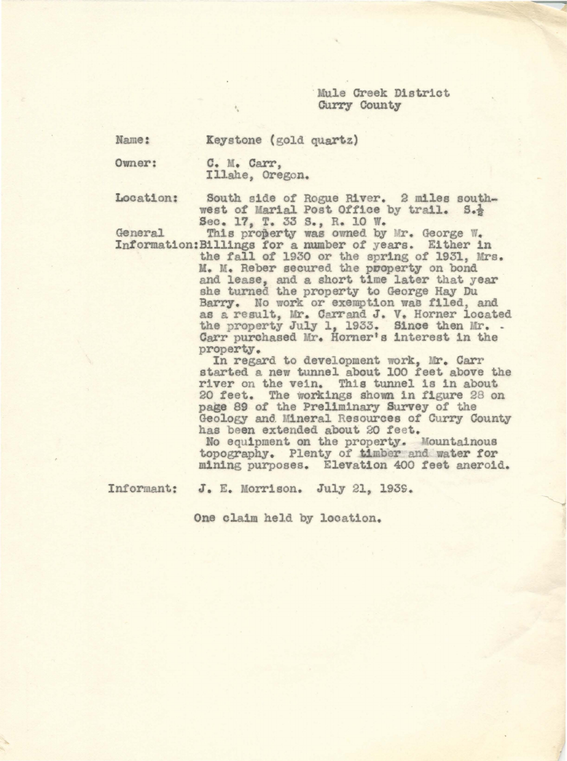Mule Creek District Curry County

Name:

Keystone (gold quartz)

owner:

C. M. Carr, Illahe, Oregon.

' •

Location: South side of Rogue River. 2 miles southwest of Marial Post Office by trail. S.} Sec. 17, T. 33 S., R. 10 W.<br>This property was owned by Mr. George W.

General This property was owned by Mr. George W.<br>Information:Billings for a number of years. Either in the fall of 1930 or the spring of 1931, Mrs. M. M. Reber secured the pooperty on bond and lease, and a short time later that year she turned the property to George Hay Du Barry. No work or exemption was filed, and as a result, Mr. Carrand J. V. Horner located the property July 1, 1933. Since then Mr. - Carr purchased Mr. Horner's interest in the Carr purchased Mr. Horner's interest in the property.<br>In regard to development work, Mr. Carr

started a new tunnel about 100 feet above the river on the vein. This tunnel 1s 1n about 20 feet. The workings. shown in figure 28 on page 89 of the Preliminary Survey of the Geology and Mineral Resources of Curry County has been extended about 20 feet.

No equipment on the property. Mountainous topography. Plenty of timber and water for mining purposes. Elevation 400 teet aneroid.

Informant: J. E. Morrison. July 21, 1939.

One claim held by location.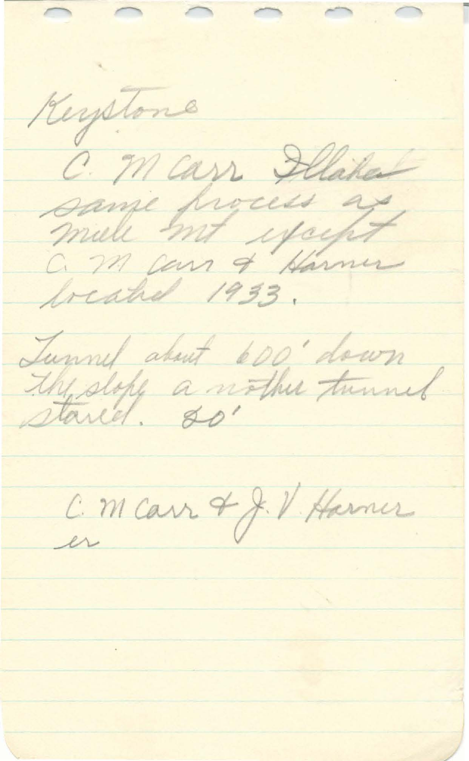$\frown$  $\frown$  $\cap$   $\cap$ Keystone C. Marr Flater same process as mill mit youft a m can of Harmer freahed 1933. Tunnel about 600 down the stope a nother tunnel C. M carr & J. V. Harner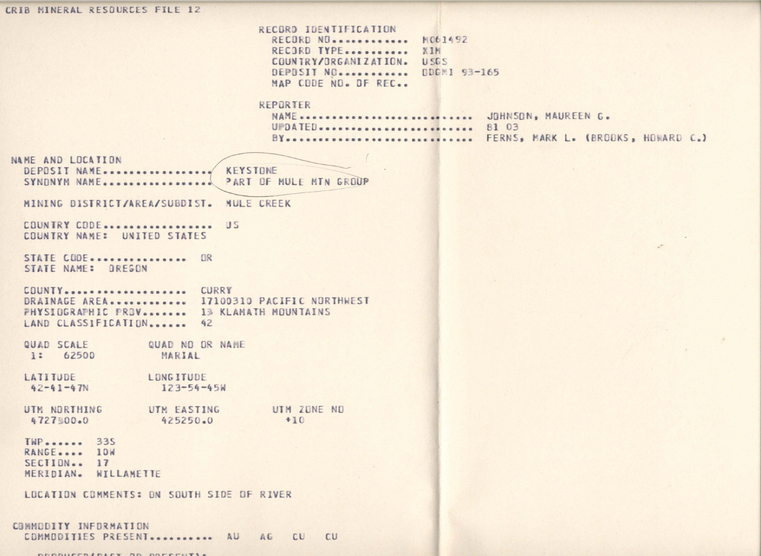CRIB MINERAL RESOURCES FILE 12 RECORD IDENTIFICATION RECORD NO............ M061492 RECORD TYPE........... XIM COUNTRY/ORGANIZATION. USGS DEPOSIT NO........... DDGM1 93-165 MAP CODE NO. OF REC. REPORTER NAME ............................ JOHNSON, MAUREEN G. UPDATED............................. 81 03 BY----------------------------- FERNS, MARK L. (BROOKS, HOWARD C.) NAME AND LOCATION DEPOSIT NAME................. KEYSTONE SYNDNYM NAME .................. PART OF MULF MTN GROUP MINING DISTRICT/AREA/SUBDIST. MULE CREEK COUNTRY CODE................... US COUNTRY NAME: UNITED STATES STATE CODE................ OR STATE NAME: OREGON COUNTY ..................... CURRY DRAINAGE AREA............. 17100310 PACIFIC NORTHWEST PHYSIOGRAPHIC PROV....... 13 KLAMATH MOUNTAINS LAND CLASSIFICATION....... 42 QUAD SCALE QUAD NO OR NAME 1: 62500 MARIAL LATITUDE LONGITUDE  $123 - 54 - 45k$  $42 - 41 - 47N$ UTM NORTHING UTM ZONE NO UTM EASTING 4727%00.0 425250.0  $+10$ **TWP** ....... 335 RANGE.... 10W  $SECIIDN-.17$ MERIDIAN. WILLAMETTE LOCATION COMMENTS: ON SOUTH SIDE OF RIVER COMMODITY INFORMATION COMMODITIES PRESENT........... AU AG CU **CU** 

EROBIATO INICE OR OBFACUTI .